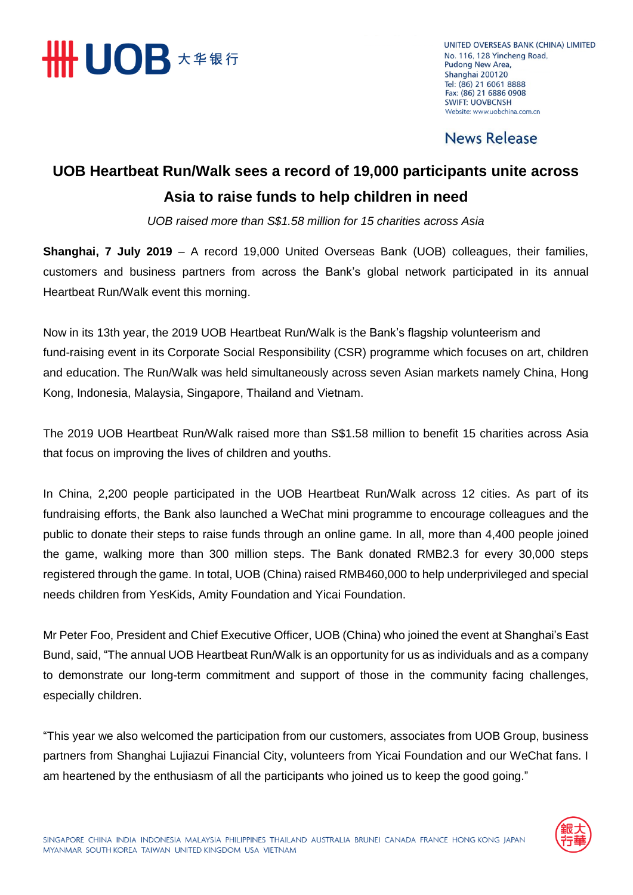

UNITED OVERSEAS BANK (CHINA) LIMITED No. 116, 128 Yincheng Road, Pudong New Area, Shanghai 200120 Tel: (86) 21 6061 8888 Fax: (86) 21 6886 0908 **SWIFT: UOVBCNSH** Website: www.uobchina.com.cn

## **News Release**

## **UOB Heartbeat Run/Walk sees a record of 19,000 participants unite across Asia to raise funds to help children in need**

*UOB raised more than S\$1.58 million for 15 charities across Asia*

**Shanghai, 7 July 2019** – A record 19,000 United Overseas Bank (UOB) colleagues, their families, customers and business partners from across the Bank's global network participated in its annual Heartbeat Run/Walk event this morning.

Now in its 13th year, the 2019 UOB Heartbeat Run/Walk is the Bank's flagship volunteerism and fund-raising event in its Corporate Social Responsibility (CSR) programme which focuses on art, children and education. The Run/Walk was held simultaneously across seven Asian markets namely China, Hong Kong, Indonesia, Malaysia, Singapore, Thailand and Vietnam.

The 2019 UOB Heartbeat Run/Walk raised more than S\$1.58 million to benefit 15 charities across Asia that focus on improving the lives of children and youths.

In China, 2,200 people participated in the UOB Heartbeat Run/Walk across 12 cities. As part of its fundraising efforts, the Bank also launched a WeChat mini programme to encourage colleagues and the public to donate their steps to raise funds through an online game. In all, more than 4,400 people joined the game, walking more than 300 million steps. The Bank donated RMB2.3 for every 30,000 steps registered through the game. In total, UOB (China) raised RMB460,000 to help underprivileged and special needs children from YesKids, Amity Foundation and Yicai Foundation.

Mr Peter Foo, President and Chief Executive Officer, UOB (China) who joined the event at Shanghai's East Bund, said, "The annual UOB Heartbeat Run/Walk is an opportunity for us as individuals and as a company to demonstrate our long-term commitment and support of those in the community facing challenges, especially children.

"This year we also welcomed the participation from our customers, associates from UOB Group, business partners from Shanghai Lujiazui Financial City, volunteers from Yicai Foundation and our WeChat fans. I am heartened by the enthusiasm of all the participants who joined us to keep the good going."